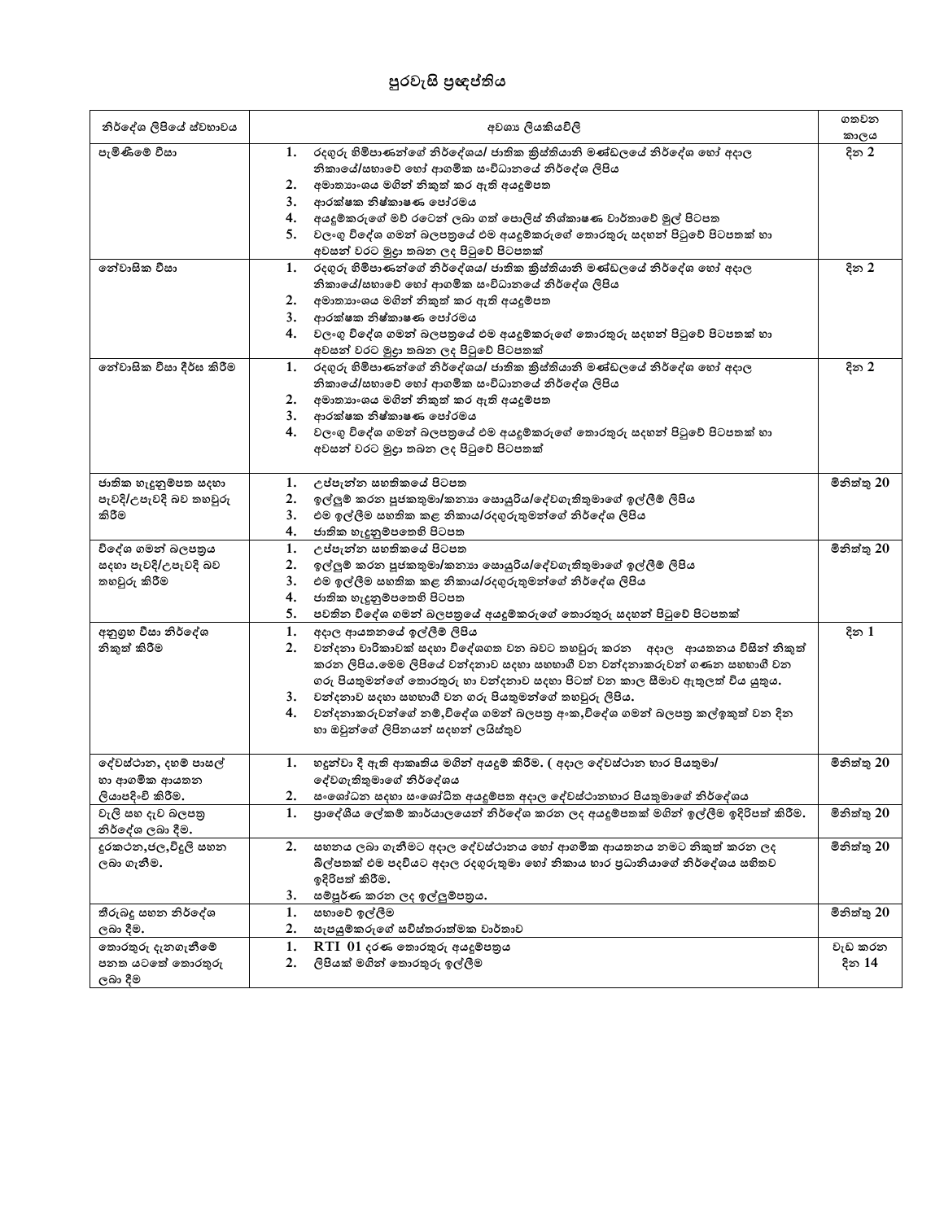## **පුරලැසි ප්රඥප්තිය**

| නිර්දේශ ලිපියේ ස්වභාවය   | අවශා ලියකියවිලි                                                                         | ගතවන<br>කාලය |
|--------------------------|-----------------------------------------------------------------------------------------|--------------|
| පැමිණීමේ වීසා            | රදගුරු හිමිපාණන්ගේ නිර්දේශය/ ජාතික කිස්තියානි මණ්ඩලයේ නිර්දේශ හෝ අදාල<br>1.             | දින 2        |
|                          | නිකායේ/සභාවේ හෝ ආගමික සංවිධානයේ නිර්දේශ ලිපිය                                           |              |
|                          | අමාතාහංශය මගින් නිකුත් කර ඇති අයදූම්පත<br>2.                                            |              |
|                          | ආරක්ෂක නිෂ්කාෂණ පෝරමය<br>3.                                                             |              |
|                          | අයදූම්කරුගේ මව් රටෙන් ලබා ගත් පොලිස් නිශ්කාෂණ වාර්තාවේ මුල් පිටපත<br>4.                 |              |
|                          | වලංගු විදේශ ගමන් බලපතුයේ එම අයදුම්කරුගේ තොරතුරු සදහන් පිටුවේ පිටපතක් හා<br>5.           |              |
|                          | අවසන් වරට මුදා තබන ලද පිටුවේ පිටපතක්                                                    |              |
| නේවාසික වීසා             | රදගුරු හිමිපාණන්ගේ නිර්දේශය/ ජාතික කුිස්තියානි මණ්ඩලයේ නිර්දේශ හෝ අදාල<br>1.            | දින 2        |
|                          | නිකායේ/සභාවේ හෝ ආගමික සංවිධානයේ නිර්දේශ ලිපිය                                           |              |
|                          | 2.<br>අමාතහංශය මගින් නිකුත් කර ඇති අයදූම්පත                                             |              |
|                          | ආරක්ෂක නිෂ්කාෂණ පෝරමය<br>3.                                                             |              |
|                          | වලංගු විදේශ ගමන් බලපතුයේ එම අයදුම්කරුගේ තොරතුරු සදහන් පිටුවේ පිටපතක් හා<br>4.           |              |
|                          | අවසන් වරට මුදුා තබන ලද පිටුවේ පිටපතක්                                                   |              |
| තේවාසික වීසා දීර්ඝ කිරීම | රදගුරු හිමිපාණන්ගේ නිර්දේශය/ ජාතික කුිස්තියානි මණ්ඩලයේ නිර්දේශ හෝ අදාල<br>1.            | දින 2        |
|                          | නිකායේ/සභාවේ හෝ ආගමික සංවිධානයේ නිර්දේශ ලිපිය                                           |              |
|                          | අමාතහංශය මගින් නිකුත් කර ඇති අයදූම්පත<br>2.                                             |              |
|                          | ආරක්ෂක නිෂ්කාෂණ පෝරමය<br>3.                                                             |              |
|                          | වලංගු විදේශ ගමන් බලපතුයේ එම අයදුම්කරුගේ තොරතුරු සදහන් පිටුවේ පිටපතක් හා<br>4.           |              |
|                          | අවසන් වරට මුදුා තබන ලද පිටුවේ පිටපතක්                                                   |              |
|                          |                                                                                         |              |
| ජාතික හැදුනුම්පත සදහා    | උප්පැන්න සහතිකයේ පිටපත<br>1.                                                            | මිනිත්තු 20  |
| පැවදි/උපැවදි බව තහවූරු   | ඉල්ලුම් කරන පූජකතුමා/කනාහ සොයුරිය/දේවගැතිතුමාගේ ඉල්ලීම් ලිපිය<br>2.                     |              |
| කිරීම                    | එම ඉල්ලීම සහතික කළ නිකාය/රදගුරුතුමන්ගේ නිර්දේශ ලිපිය<br>3.                              |              |
|                          | ජාතික හැදුනුම්පතෙහි පිටපත<br>4.                                                         |              |
| .<br>විදේශ ගමන් බලපතුය   | උප්පැන්න සහතිකයේ පිටපත<br>1.                                                            | මිනිත්තු 20  |
| සදහා පැවදි/උපැවදි බව     | ඉල්ලුම් කරන පූජකතුමා/කනාා සොයුරිය/දේවගැතිතුමාගේ ඉල්ලීම් ලිපිය<br>2.                     |              |
| තහවුරු කිරීම             | එම ඉල්ලීම සහතික කළ නිකාය/රදගුරුතුමන්ගේ නිර්දේශ ලිපිය<br>3.                              |              |
|                          | ජාතික හැදුනුම්පතෙහි පිටපත<br>4.                                                         |              |
|                          | 5.<br>පවතින විදේශ ගමන් බලපතුයේ අයදුම්කරුගේ තොරතුරු සදහන් පිටුවේ පිටපතක්                 |              |
| අනුගුහ වීසා නිර්දේශ      | අදාල ආයතනයේ ඉල්ලීම් ලිපිය<br>1.                                                         | දින 1        |
| නිකුත් කිරීම             | 2.<br>වන්දනා වාරිකාවක් සදහා විදේශගත වන බවට තහවුරු කරන අදාල ආයතනය විසින් නිකුත්          |              |
|                          | කරන ලිපිය.මෙම ලිපියේ වන්දනාව සදහා සහභාගී වන වන්දනාකරුවන් ගණන සහභාගී වන                  |              |
|                          | ගරු පියතුමන්ගේ තොරතුරු හා වන්දනාව සදහා පිටත් වන කාල සීමාව ඇතුලත් විය යුතුය.             |              |
|                          | වන්දනාව සදහා සහභාගී වන ගරු පියතුමන්ගේ තහවුරු ලිපිය.<br>3.                               |              |
|                          | වන්දනාකරුවන්ගේ නම්,විදේශ ගමන් බලපතු අංක,විදේශ ගමන් බලපතු කල්ඉකුත් වන දින<br>4.          |              |
|                          | හා ඔවුන්ගේ ලිපිනයන් සදහන් ලයිස්තුව                                                      |              |
|                          |                                                                                         |              |
| දේවස්ථාන, දහම් පාසල්     | හදුන්වා දී ඇති ආකෘතිය මගින් අයදුම් කිරීම. ( අදාල දේවස්ථාන භාර පියතුමා/<br>1.            | මිනිත්තු 20  |
| හා ආගමික ආයතන            | දේවගැතිතුමාගේ නිර්දේශය                                                                  |              |
| ලියාපදිංචි කිරීම.        | සංශෝධන සදහා සංශෝධිත අයදුම්පත අදාල දේවස්ථානභාර පියතුමාගේ නිර්දේශය<br>2.                  |              |
| වැලි සහ දැව බලපතු        | පුාදේශීය ලේකම් කාර්යාලයෙන් නිර්දේශ කරන ලද අයදූම්පතක් මගින් ඉල්ලීම ඉදිරිපත් කිරීම.<br>1. | මිනිත්තු 20  |
| නිර්දේශ ලබා දීම.         |                                                                                         |              |
| දුරකථන,ජල,විදුලි සහන     | සහනය ලබා ගැනීමට අදාල දේවස්ථානය හෝ ආගමික ආයතනය නමට නිකුත් කරන ලද<br>2.                   | මිනිත්තු 20  |
| ලබා ගැනීම.               | බිල්පතක් එම පදවියට අදාල රදගුරුතුමා හෝ නිකාය භාර පුධානියාගේ නිර්දේශය සහිතව               |              |
|                          | ඉදිරිපත් කිරීම.                                                                         |              |
|                          | සම්පූර්ණ කරන ලද ඉල්ලුම්පතුය.<br>3.                                                      |              |
| තීරුබදූ සහන නිර්දේශ      | 1.<br>සභාවේ ඉල්ලීම                                                                      | මිනිත්තු 20  |
| ලබා දීම.                 | 2.<br>සැපයුම්කරුගේ සවිස්තරාත්මක වාර්තාව                                                 |              |
| තොරතුරු දැනගැනීමේ        | 1.<br>$RTI$ 01 දරණ තොරතුරු අයදූම්පතුය                                                   | වැඩ කරන      |
| පනත යටතේ තොරතුරු         | 2.<br>ලිපියක් මගින් තොරතුරු ඉල්ලීම                                                      | දින 14       |
|                          |                                                                                         |              |
| ලබා දීම                  |                                                                                         |              |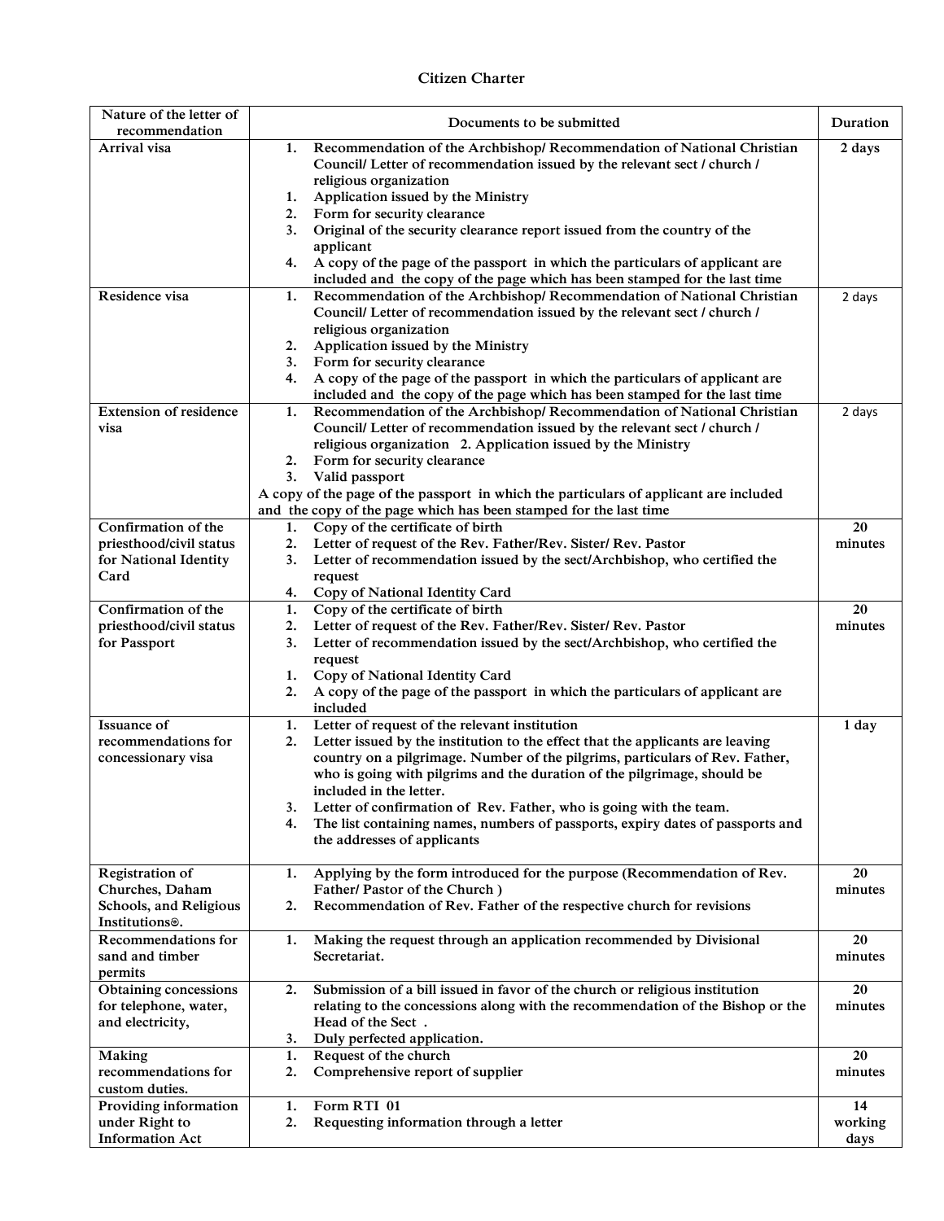## **Citizen Charter**

| Nature of the letter of<br>recommendation             | Documents to be submitted                                                                                                                                            | Duration |
|-------------------------------------------------------|----------------------------------------------------------------------------------------------------------------------------------------------------------------------|----------|
| Arrival visa                                          | Recommendation of the Archbishop/ Recommendation of National Christian<br>1.                                                                                         | 2 days   |
|                                                       | Council/ Letter of recommendation issued by the relevant sect / church /                                                                                             |          |
|                                                       | religious organization                                                                                                                                               |          |
|                                                       | Application issued by the Ministry<br>1.<br>2.<br>Form for security clearance                                                                                        |          |
|                                                       | Original of the security clearance report issued from the country of the<br>3.                                                                                       |          |
|                                                       | applicant                                                                                                                                                            |          |
|                                                       | A copy of the page of the passport in which the particulars of applicant are<br>4.                                                                                   |          |
|                                                       | included and the copy of the page which has been stamped for the last time                                                                                           |          |
| Residence visa                                        | Recommendation of the Archbishop/ Recommendation of National Christian<br>1.                                                                                         | 2 days   |
|                                                       | Council/ Letter of recommendation issued by the relevant sect / church /                                                                                             |          |
|                                                       | religious organization                                                                                                                                               |          |
|                                                       | Application issued by the Ministry<br>2.                                                                                                                             |          |
|                                                       | Form for security clearance<br>3.<br>A copy of the page of the passport in which the particulars of applicant are<br>4.                                              |          |
|                                                       | included and the copy of the page which has been stamped for the last time                                                                                           |          |
| <b>Extension of residence</b>                         | Recommendation of the Archbishop/ Recommendation of National Christian<br>1.                                                                                         | 2 days   |
| visa                                                  | Council/ Letter of recommendation issued by the relevant sect / church /                                                                                             |          |
|                                                       | religious organization 2. Application issued by the Ministry                                                                                                         |          |
|                                                       | 2.<br>Form for security clearance                                                                                                                                    |          |
|                                                       | 3.<br>Valid passport                                                                                                                                                 |          |
|                                                       | A copy of the page of the passport in which the particulars of applicant are included                                                                                |          |
|                                                       | and the copy of the page which has been stamped for the last time                                                                                                    |          |
| Confirmation of the                                   | Copy of the certificate of birth<br>1.                                                                                                                               | 20       |
| priesthood/civil status                               | 2.<br>Letter of request of the Rev. Father/Rev. Sister/ Rev. Pastor<br>3.                                                                                            | minutes  |
| for National Identity<br>Card                         | Letter of recommendation issued by the sect/Archbishop, who certified the<br>request                                                                                 |          |
|                                                       | 4.<br>Copy of National Identity Card                                                                                                                                 |          |
| Confirmation of the                                   | Copy of the certificate of birth<br>1.                                                                                                                               | 20       |
| priesthood/civil status                               | Letter of request of the Rev. Father/Rev. Sister/ Rev. Pastor<br>2.                                                                                                  | minutes  |
| for Passport                                          | 3.<br>Letter of recommendation issued by the sect/Archbishop, who certified the                                                                                      |          |
|                                                       | request                                                                                                                                                              |          |
|                                                       | Copy of National Identity Card<br>1.                                                                                                                                 |          |
|                                                       | 2.<br>A copy of the page of the passport in which the particulars of applicant are                                                                                   |          |
|                                                       | included                                                                                                                                                             |          |
| Issuance of                                           | Letter of request of the relevant institution<br>1.                                                                                                                  | 1 day    |
| recommendations for                                   | Letter issued by the institution to the effect that the applicants are leaving<br>2.<br>country on a pilgrimage. Number of the pilgrims, particulars of Rev. Father, |          |
| concessionary visa                                    | who is going with pilgrims and the duration of the pilgrimage, should be                                                                                             |          |
|                                                       | included in the letter.                                                                                                                                              |          |
|                                                       | Letter of confirmation of Rev. Father, who is going with the team.<br>3.                                                                                             |          |
|                                                       | The list containing names, numbers of passports, expiry dates of passports and<br>4.                                                                                 |          |
|                                                       | the addresses of applicants                                                                                                                                          |          |
|                                                       |                                                                                                                                                                      |          |
| Registration of                                       | Applying by the form introduced for the purpose (Recommendation of Rev.<br>1.                                                                                        | 20       |
| Churches, Daham                                       | Father/ Pastor of the Church)<br>Recommendation of Rev. Father of the respective church for revisions                                                                | minutes  |
| Schools, and Religious<br>Institutions <sup>®</sup> . | 2.                                                                                                                                                                   |          |
| Recommendations for                                   | Making the request through an application recommended by Divisional<br>1.                                                                                            | 20       |
| sand and timber                                       | Secretariat.                                                                                                                                                         | minutes  |
| permits                                               |                                                                                                                                                                      |          |
| Obtaining concessions                                 | Submission of a bill issued in favor of the church or religious institution<br>2.                                                                                    | 20       |
| for telephone, water,                                 | relating to the concessions along with the recommendation of the Bishop or the                                                                                       | minutes  |
| and electricity,                                      | Head of the Sect.                                                                                                                                                    |          |
|                                                       | Duly perfected application.<br>3.                                                                                                                                    |          |
| <b>Making</b>                                         | Request of the church<br>1.                                                                                                                                          | 20       |
| recommendations for                                   | Comprehensive report of supplier<br>2.                                                                                                                               | minutes  |
| custom duties.                                        | Form RTI 01                                                                                                                                                          | 14       |
| Providing information<br>under Right to               | 1.<br>Requesting information through a letter<br>2.                                                                                                                  | working  |
| <b>Information Act</b>                                |                                                                                                                                                                      | days     |
|                                                       |                                                                                                                                                                      |          |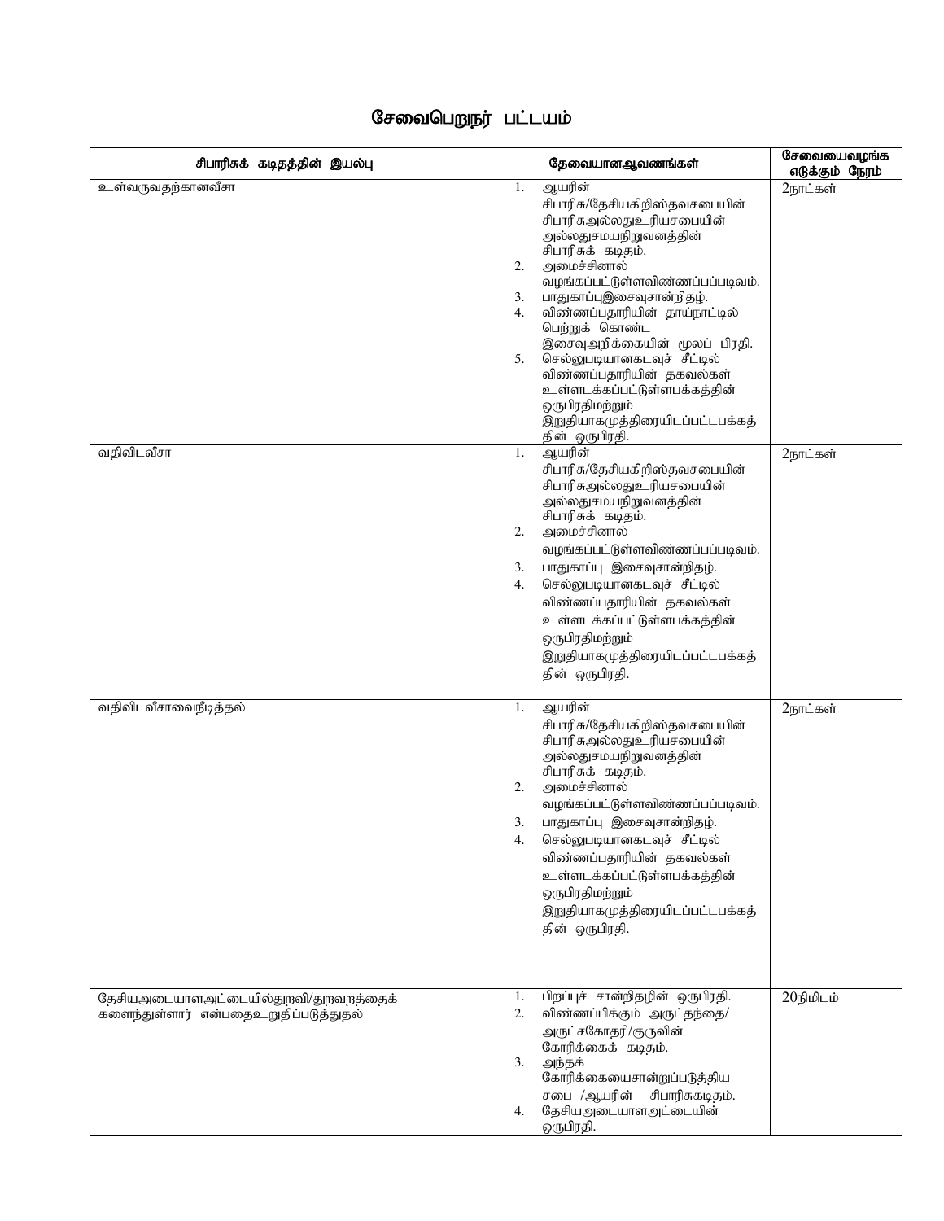## சேவைபெறுநர் பட்டயம்

| சிபாரிசுக் கடிதத்தின் இயல்பு                                                   | தேவையானஆவணங்கள்                                                                                                                                                                                                                                                                                                                                                                                                                                                                                           | சேவையைவழங்க<br>எடுக்கும் நேரம் |
|--------------------------------------------------------------------------------|-----------------------------------------------------------------------------------------------------------------------------------------------------------------------------------------------------------------------------------------------------------------------------------------------------------------------------------------------------------------------------------------------------------------------------------------------------------------------------------------------------------|--------------------------------|
| உள்வருவதற்கானவீசா<br>வதிவிடவீசா                                                | ஆயரின்<br>1.<br>சிபாரிசு/தேசியகிறிஸ்தவசபையின்<br>சிபாரிசுஅல்லதுஉரியசபையின்<br>அல்லதுசமயநிறுவனத்தின்<br>சிபாரிசுக் கடிதம்.<br>அமைச்சினால்<br>2.<br>வழங்கப்பட்டுள்ளவிண்ணப்பப்படிவம்.<br>பாதுகாப்புஇசைவுசான்றிதழ்.<br>3.<br>விண்ணப்பதாரியின் தாய்நாட்டில்<br>4.<br>பெற்றுக் கொண்ட<br>இசைவுஅறிக்கையின் மூலப் பிரதி.<br>செல்லுபடியானகடவுச் சீட்டில்<br>5.<br>விண்ணப்பதாரியின் தகவல்கள்<br>உள்ளடக்கப்பட்டுள்ளபக்கத்தின்<br>ஒருபிரதிமற்றும்<br>இறுதியாகமுத்திரையிடப்பட்டபக்கத்<br>தின் ஒருபிரதி.<br>ஆயரின்<br>1. | 2நாட்கள்<br>2நாட்கள்           |
|                                                                                | சிபாரிசு/தேசியகிறிஸ்தவசபையின்<br>சிபாரிசுஅல்லதுஉரியசபையின்<br>அல்லதுசமயநிறுவனத்தின்<br>சிபாரிசுக் கடிதம்.<br>அமைச்சினால்<br>2.<br>வழங்கப்பட்டுள்ளவிண்ணப்பப்படிவம்.<br>பாதுகாப்பு இசைவுசான்றிதழ்.<br>3.<br>செல்லுபடியானகடவுச் சீட்டில்<br>4.<br>விண்ணப்பதாரியின் தகவல்கள்<br>உள்ளடக்கப்பட்டுள்ளபக்கத்தின்<br>ஒருபிரதிமற்றும்<br>இறுதியாகமுத்திரையிடப்பட்டபக்கத்<br>தின் ஒருபிரதி.                                                                                                                          |                                |
| வதிவிடவீசாவைநீடித்தல்                                                          | ஆயரின்<br>1.<br>சிபாரிசு/தேசியகிறிஸ்தவசபையின்<br>சிபாரிசுஅல்லதுஉரியசபையின்<br>அல்லதுசமயநிறுவனத்தின்<br>சிபாரிசுக் கடிதம்.<br>அமைச்சினால்<br>2.<br>வழங்கப்பட்டுள்ளவிண்ணப்பப்படிவம்.<br>பாதுகாப்பு இசைவுசான்றிதழ்.<br>3.<br>செல்லுபடியானகடவுச் சீட்டில்<br>4.<br>விண்ணப்பதாரியின் தகவல்கள்<br>உள்ளடக்கப்பட்டுள்ளபக்கத்தின்<br>ஒருபிரதிமற்றும்<br>இறுதியாகமுத்திரையிடப்பட்டபக்கத்<br>தின் ஒருபிரதி.                                                                                                          | 2நாட்கள்                       |
| தேசியஅடையாளஅட்டையில்துறவி/துறவறத்தைக்<br>களைந்துள்ளார் என்பதைஉறுதிப்படுத்துதல் | பிறப்புச் சான்றிதழின் ஒருபிரதி.<br>1.<br>விண்ணப்பிக்கும் அருட்தந்தை/<br>2.<br>அருட்சகோதரி/குருவின்<br>கோரிக்கைக் கடிதம்.<br>3.<br>அந்தக்<br>கோரிக்கையைசான்றுப்படுத்திய<br>சபை /ஆயரின் சிபாரிசுகடிதம்.<br>தேசியஅடையாளஅட்டையின்<br>4.<br>ஒருபிரதி.                                                                                                                                                                                                                                                          | 20நிமிடம்                      |